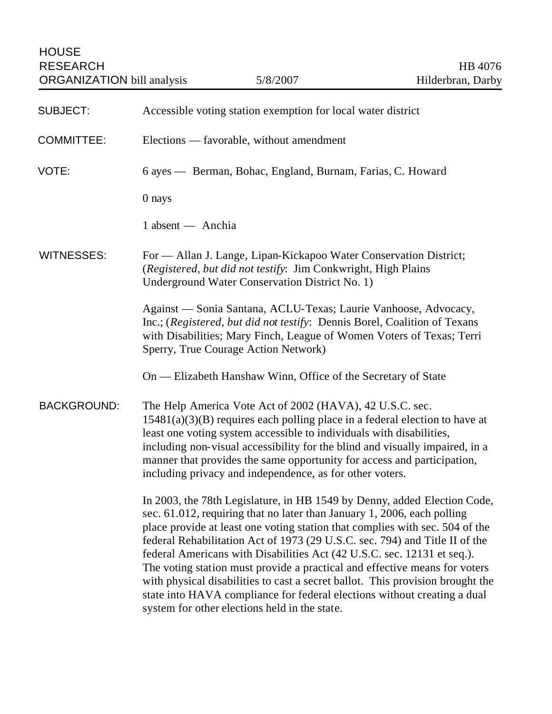| <b>SUBJECT:</b>    | Accessible voting station exemption for local water district                                                                                                                                                                                                                                                                                                                                                                                                                                                                                                                                                                                                                               |
|--------------------|--------------------------------------------------------------------------------------------------------------------------------------------------------------------------------------------------------------------------------------------------------------------------------------------------------------------------------------------------------------------------------------------------------------------------------------------------------------------------------------------------------------------------------------------------------------------------------------------------------------------------------------------------------------------------------------------|
| <b>COMMITTEE:</b>  | Elections — favorable, without amendment                                                                                                                                                                                                                                                                                                                                                                                                                                                                                                                                                                                                                                                   |
| VOTE:              | 6 ayes — Berman, Bohac, England, Burnam, Farias, C. Howard                                                                                                                                                                                                                                                                                                                                                                                                                                                                                                                                                                                                                                 |
|                    | 0 nays                                                                                                                                                                                                                                                                                                                                                                                                                                                                                                                                                                                                                                                                                     |
|                    | 1 absent — Anchia                                                                                                                                                                                                                                                                                                                                                                                                                                                                                                                                                                                                                                                                          |
| <b>WITNESSES:</b>  | For — Allan J. Lange, Lipan-Kickapoo Water Conservation District;<br>(Registered, but did not testify: Jim Conkwright, High Plains<br>Underground Water Conservation District No. 1)                                                                                                                                                                                                                                                                                                                                                                                                                                                                                                       |
|                    | Against - Sonia Santana, ACLU-Texas; Laurie Vanhoose, Advocacy,<br>Inc.; (Registered, but did not testify: Dennis Borel, Coalition of Texans<br>with Disabilities; Mary Finch, League of Women Voters of Texas; Terri<br>Sperry, True Courage Action Network)                                                                                                                                                                                                                                                                                                                                                                                                                              |
|                    | On — Elizabeth Hanshaw Winn, Office of the Secretary of State                                                                                                                                                                                                                                                                                                                                                                                                                                                                                                                                                                                                                              |
| <b>BACKGROUND:</b> | The Help America Vote Act of 2002 (HAVA), 42 U.S.C. sec.<br>$15481(a)(3)(B)$ requires each polling place in a federal election to have at<br>least one voting system accessible to individuals with disabilities,<br>including non-visual accessibility for the blind and visually impaired, in a<br>manner that provides the same opportunity for access and participation,<br>including privacy and independence, as for other voters.                                                                                                                                                                                                                                                   |
|                    | In 2003, the 78th Legislature, in HB 1549 by Denny, added Election Code,<br>sec. 61.012, requiring that no later than January 1, 2006, each polling<br>place provide at least one voting station that complies with sec. 504 of the<br>federal Rehabilitation Act of 1973 (29 U.S.C. sec. 794) and Title II of the<br>federal Americans with Disabilities Act (42 U.S.C. sec. 12131 et seq.).<br>The voting station must provide a practical and effective means for voters<br>with physical disabilities to cast a secret ballot. This provision brought the<br>state into HAVA compliance for federal elections without creating a dual<br>system for other elections held in the state. |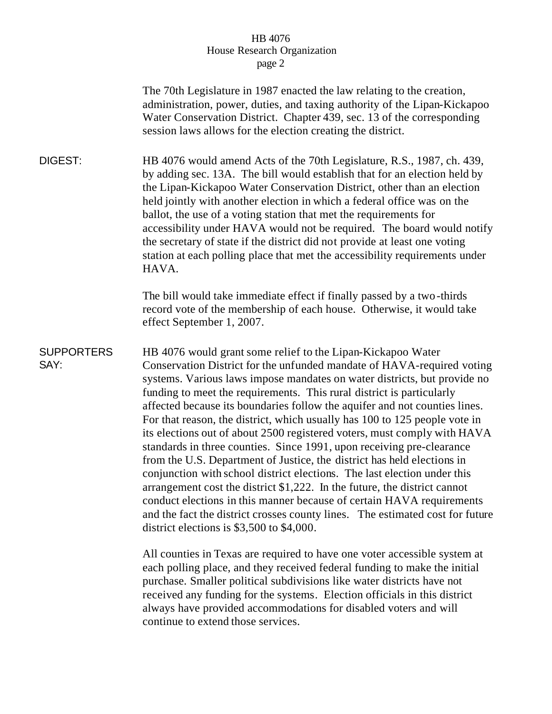## HB 4076 House Research Organization page 2

|                           | The 70th Legislature in 1987 enacted the law relating to the creation,<br>administration, power, duties, and taxing authority of the Lipan-Kickapoo<br>Water Conservation District. Chapter 439, sec. 13 of the corresponding<br>session laws allows for the election creating the district.                                                                                                                                                                                                                                                                                                                                                                                                                                                                                                                                                                                                                                                                                                                                                              |
|---------------------------|-----------------------------------------------------------------------------------------------------------------------------------------------------------------------------------------------------------------------------------------------------------------------------------------------------------------------------------------------------------------------------------------------------------------------------------------------------------------------------------------------------------------------------------------------------------------------------------------------------------------------------------------------------------------------------------------------------------------------------------------------------------------------------------------------------------------------------------------------------------------------------------------------------------------------------------------------------------------------------------------------------------------------------------------------------------|
| DIGEST:                   | HB 4076 would amend Acts of the 70th Legislature, R.S., 1987, ch. 439,<br>by adding sec. 13A. The bill would establish that for an election held by<br>the Lipan-Kickapoo Water Conservation District, other than an election<br>held jointly with another election in which a federal office was on the<br>ballot, the use of a voting station that met the requirements for<br>accessibility under HAVA would not be required. The board would notify<br>the secretary of state if the district did not provide at least one voting<br>station at each polling place that met the accessibility requirements under<br>HAVA.                                                                                                                                                                                                                                                                                                                                                                                                                             |
|                           | The bill would take immediate effect if finally passed by a two-thirds<br>record vote of the membership of each house. Otherwise, it would take<br>effect September 1, 2007.                                                                                                                                                                                                                                                                                                                                                                                                                                                                                                                                                                                                                                                                                                                                                                                                                                                                              |
| <b>SUPPORTERS</b><br>SAY: | HB 4076 would grant some relief to the Lipan-Kickapoo Water<br>Conservation District for the unfunded mandate of HAVA-required voting<br>systems. Various laws impose mandates on water districts, but provide no<br>funding to meet the requirements. This rural district is particularly<br>affected because its boundaries follow the aquifer and not counties lines.<br>For that reason, the district, which usually has 100 to 125 people vote in<br>its elections out of about 2500 registered voters, must comply with HAVA<br>standards in three counties. Since 1991, upon receiving pre-clearance<br>from the U.S. Department of Justice, the district has held elections in<br>conjunction with school district elections. The last election under this<br>arrangement cost the district \$1,222. In the future, the district cannot<br>conduct elections in this manner because of certain HAVA requirements<br>and the fact the district crosses county lines. The estimated cost for future<br>district elections is $$3,500$ to $$4,000$ . |
|                           | All counties in Texas are required to have one voter accessible system at<br>each polling place, and they received federal funding to make the initial<br>purchase. Smaller political subdivisions like water districts have not                                                                                                                                                                                                                                                                                                                                                                                                                                                                                                                                                                                                                                                                                                                                                                                                                          |

received any funding for the systems. Election officials in this district always have provided accommodations for disabled voters and will

continue to extend those services.